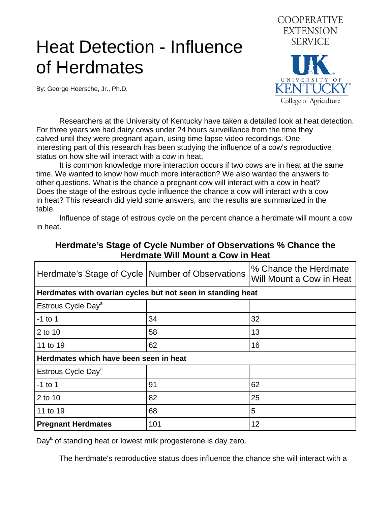## Heat Detection - Influence of Herdmates

By: George Heersche, Jr., Ph.D.



 Researchers at the University of Kentucky have taken a detailed look at heat detection. For three years we had dairy cows under 24 hours surveillance from the time they calved until they were pregnant again, using time lapse video recordings. One interesting part of this research has been studying the influence of a cow's reproductive status on how she will interact with a cow in heat.

 It is common knowledge more interaction occurs if two cows are in heat at the same time. We wanted to know how much more interaction? We also wanted the answers to other questions. What is the chance a pregnant cow will interact with a cow in heat? Does the stage of the estrous cycle influence the chance a cow will interact with a cow in heat? This research did yield some answers, and the results are summarized in the table.

 Influence of stage of estrous cycle on the percent chance a herdmate will mount a cow in heat.

| Herdmate's Stage of Cycle   Number of Observations          |     | % Chance the Herdmate<br>Will Mount a Cow in Heat |
|-------------------------------------------------------------|-----|---------------------------------------------------|
| Herdmates with ovarian cycles but not seen in standing heat |     |                                                   |
| Estrous Cycle Day <sup>a</sup>                              |     |                                                   |
| $-1$ to 1                                                   | 34  | 32                                                |
| 2 to 10                                                     | 58  | 13                                                |
| 11 to 19                                                    | 62  | 16                                                |
| Herdmates which have been seen in heat                      |     |                                                   |
| Estrous Cycle Day <sup>a</sup>                              |     |                                                   |
| $-1$ to 1                                                   | 91  | 62                                                |
| 2 to 10                                                     | 82  | 25                                                |
| 11 to 19                                                    | 68  | $5\overline{5}$                                   |
| <b>Pregnant Herdmates</b>                                   | 101 | 12                                                |

## **Herdmate's Stage of Cycle Number of Observations % Chance the Herdmate Will Mount a Cow in Heat**

Day<sup>a</sup> of standing heat or lowest milk progesterone is day zero.

The herdmate's reproductive status does influence the chance she will interact with a